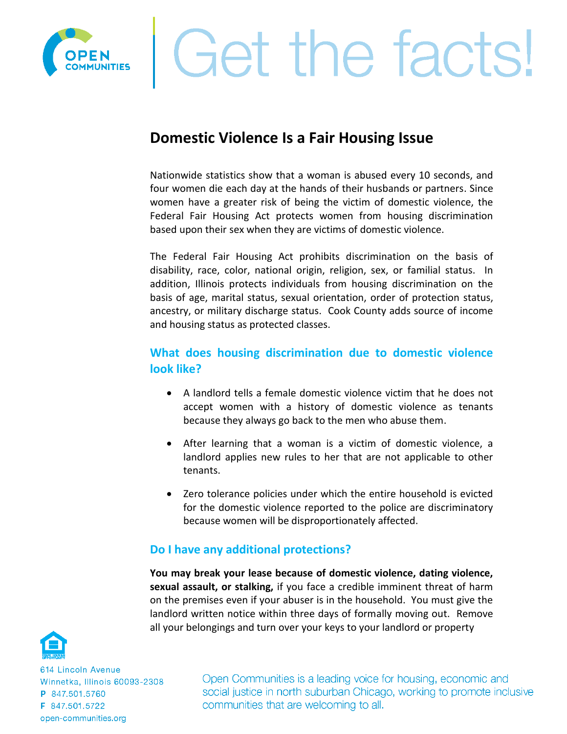

# Get the facts!

## **Domestic Violence Is a Fair Housing Issue**

Nationwide statistics show that a woman is abused every 10 seconds, and four women die each day at the hands of their husbands or partners. Since women have a greater risk of being the victim of domestic violence, the Federal Fair Housing Act protects women from housing discrimination based upon their sex when they are victims of domestic violence.

The Federal Fair Housing Act prohibits discrimination on the basis of disability, race, color, national origin, religion, sex, or familial status. In addition, Illinois protects individuals from housing discrimination on the basis of age, marital status, sexual orientation, order of protection status, ancestry, or military discharge status. Cook County adds source of income and housing status as protected classes.

### **What does housing discrimination due to domestic violence look like?**

- A landlord tells a female domestic violence victim that he does not accept women with a history of domestic violence as tenants because they always go back to the men who abuse them.
- After learning that a woman is a victim of domestic violence, a landlord applies new rules to her that are not applicable to other tenants.
- Zero tolerance policies under which the entire household is evicted for the domestic violence reported to the police are discriminatory because women will be disproportionately affected.

#### **Do I have any additional protections?**

**You may break your lease because of domestic violence, dating violence, sexual assault, or stalking,** if you face a credible imminent threat of harm on the premises even if your abuser is in the household. You must give the landlord written notice within three days of formally moving out. Remove all your belongings and turn over your keys to your landlord or property



614 Lincoln Avenue Winnetka, Illinois 60093-2308 P 847.501.5760 F 847.501.5722 open-communities.org

Open Communities is a leading voice for housing, economic and social justice in north suburban Chicago, working to promote inclusive communities that are welcoming to all.